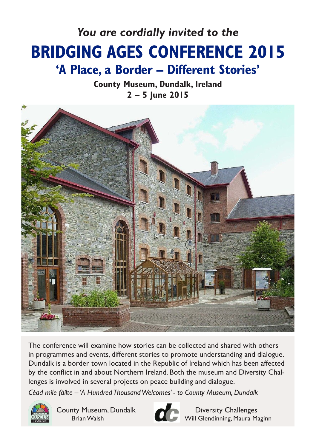# *You are cordially invited to the* **BRIDGING AGES CONFERENCE 2015 'A Place, a Border – Different Stories'**

**County Museum, Dundalk, Ireland 2 – 5 June 2015**



The conference will examine how stories can be collected and shared with others in programmes and events, different stories to promote understanding and dialogue. Dundalk is a border town located in the Republic of Ireland which has been affected by the conflict in and about Northern Ireland. Both the museum and Diversity Challenges is involved in several projects on peace building and dialogue.

*Céad míle fáilte – 'A Hundred Thousand Welcomes' - to County Museum, Dundalk*



County Museum, Dundalk **Diversity Challenges** 



Brian Walsh Will Glendinning, Maura Maginn